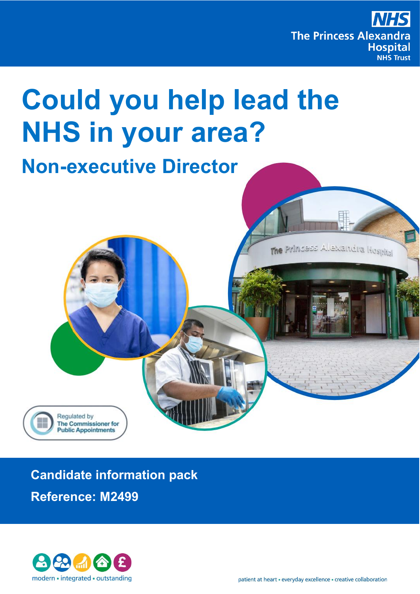

The Princess Alexandra Hospital

# **Could you help lead the NHS in your area?**

## **Non-executive Director**





Regulated by

**The Commissioner for Public Appointments**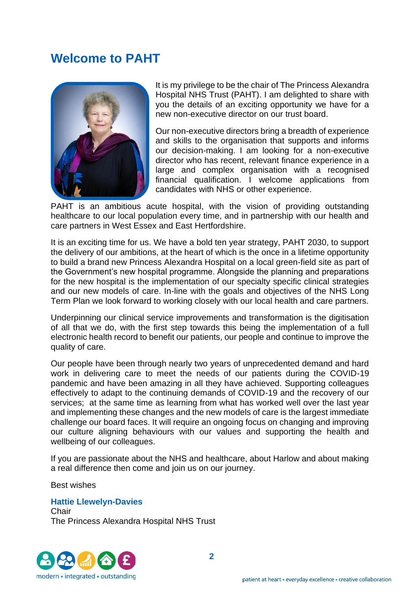### **Welcome to PAHT**



It is my privilege to be the chair of The Princess Alexandra Hospital NHS Trust (PAHT). I am delighted to share with you the details of an exciting opportunity we have for a new non-executive director on our trust board.

Our non-executive directors bring a breadth of experience and skills to the organisation that supports and informs our decision-making. I am looking for a non-executive director who has recent, relevant finance experience in a large and complex organisation with a recognised financial qualification. I welcome applications from candidates with NHS or other experience.

PAHT is an ambitious acute hospital, with the vision of providing outstanding healthcare to our local population every time, and in partnership with our health and care partners in West Essex and East Hertfordshire.

It is an exciting time for us. We have a bold ten year strategy, PAHT 2030, to support the delivery of our ambitions, at the heart of which is the once in a lifetime opportunity to build a brand new Princess Alexandra Hospital on a local green-field site as part of the Government's new hospital programme. Alongside the planning and preparations for the new hospital is the implementation of our specialty specific clinical strategies and our new models of care. In-line with the goals and objectives of the NHS Long Term Plan we look forward to working closely with our local health and care partners.

Underpinning our clinical service improvements and transformation is the digitisation of all that we do, with the first step towards this being the implementation of a full electronic health record to benefit our patients, our people and continue to improve the quality of care.

Our people have been through nearly two years of unprecedented demand and hard work in delivering care to meet the needs of our patients during the COVID-19 pandemic and have been amazing in all they have achieved. Supporting colleagues effectively to adapt to the continuing demands of COVID-19 and the recovery of our services; at the same time as learning from what has worked well over the last year and implementing these changes and the new models of care is the largest immediate challenge our board faces. It will require an ongoing focus on changing and improving our culture aligning behaviours with our values and supporting the health and wellbeing of our colleagues.

If you are passionate about the NHS and healthcare, about Harlow and about making a real difference then come and join us on our journey.

Best wishes

#### **Hattie Llewelyn-Davies**

**Chair** The Princess Alexandra Hospital NHS Trust

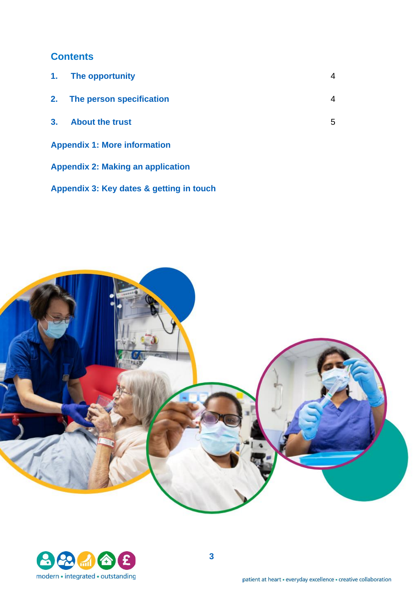#### **Contents**

|                                     | 1. The opportunity          | 4 |
|-------------------------------------|-----------------------------|---|
|                                     | 2. The person specification | 4 |
| 3 <sub>1</sub>                      | <b>About the trust</b>      | 5 |
| <b>Appendix 1: More information</b> |                             |   |

**Appendix 2: Making an application**

**Appendix 3: Key dates & getting in touch**



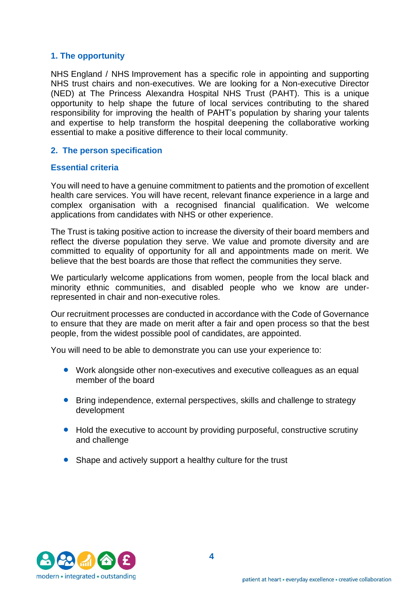#### **1. The opportunity**

NHS England / NHS Improvement has a specific role in appointing and supporting NHS trust chairs and non-executives. We are looking for a Non-executive Director (NED) at The Princess Alexandra Hospital NHS Trust (PAHT). This is a unique opportunity to help shape the future of local services contributing to the shared responsibility for improving the health of PAHT's population by sharing your talents and expertise to help transform the hospital deepening the collaborative working essential to make a positive difference to their local community.

#### **2. The person specification**

#### **Essential criteria**

You will need to have a genuine commitment to patients and the promotion of excellent health care services. You will have recent, relevant finance experience in a large and complex organisation with a recognised financial qualification. We welcome applications from candidates with NHS or other experience.

The Trust is taking positive action to increase the diversity of their board members and reflect the diverse population they serve. We value and promote diversity and are committed to equality of opportunity for all and appointments made on merit. We believe that the best boards are those that reflect the communities they serve.

We particularly welcome applications from women, people from the local black and minority ethnic communities, and disabled people who we know are underrepresented in chair and non-executive roles.

Our recruitment processes are conducted in accordance with the Code of Governance to ensure that they are made on merit after a fair and open process so that the best people, from the widest possible pool of candidates, are appointed.

You will need to be able to demonstrate you can use your experience to:

- Work alongside other non-executives and executive colleagues as an equal member of the board
- Bring independence, external perspectives, skills and challenge to strategy development
- Hold the executive to account by providing purposeful, constructive scrutiny and challenge
- Shape and actively support a healthy culture for the trust

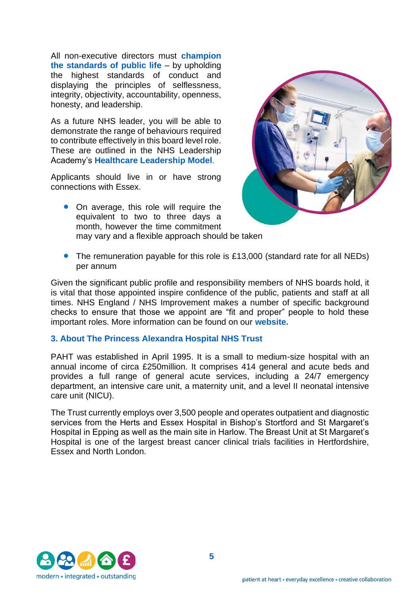All non-executive directors must **champion the standards of public life** – by upholding the highest standards of conduct and displaying the principles of selflessness, integrity, objectivity, accountability, openness, honesty, and leadership.

As a future NHS leader, you will be able to demonstrate the range of behaviours required to contribute effectively in this board level role. These are outlined in the NHS Leadership Academy's **[Healthcare Leadership Model](http://www.leadershipacademy.nhs.uk/discover/leadershipmodel/)**.

Applicants should live in or have strong connections with Essex.

- 
- On average, this role will require the equivalent to two to three days a month, however the time commitment may vary and a flexible approach should be taken
- The remuneration payable for this role is £13,000 (standard rate for all NEDs) per annum

Given the significant public profile and responsibility members of NHS boards hold, it is vital that those appointed inspire confidence of the public, patients and staff at all times. NHS England / NHS Improvement makes a number of specific background checks to ensure that those we appoint are "fit and proper" people to hold these important roles. More information can be found on our **[website.](https://www.england.nhs.uk/non-executive-opportunities/support-for-candidates/fit-proper-persons-requirements/)** 

#### **3. About The Princess Alexandra Hospital NHS Trust**

PAHT was established in April 1995. It is a small to medium-size hospital with an annual income of circa £250million. It comprises 414 general and acute beds and provides a full range of general acute services, including a 24/7 emergency department, an intensive care unit, a maternity unit, and a level II neonatal intensive care unit (NICU).

The Trust currently employs over 3,500 people and operates outpatient and diagnostic services from the Herts and Essex Hospital in Bishop's Stortford and St Margaret's Hospital in Epping as well as the main site in Harlow. The Breast Unit at St Margaret's Hospital is one of the largest breast cancer clinical trials facilities in Hertfordshire, Essex and North London.

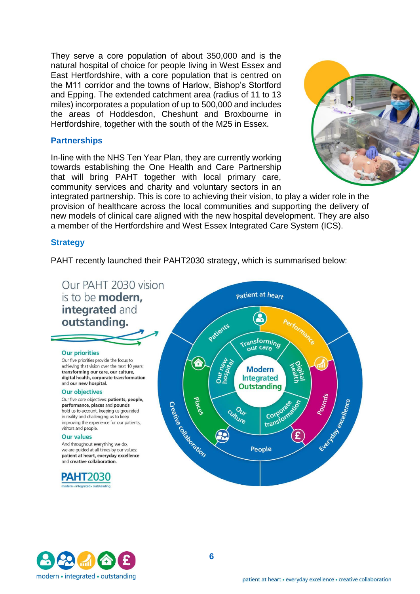They serve a core population of about 350,000 and is the natural hospital of choice for people living in West Essex and East Hertfordshire, with a core population that is centred on the M11 corridor and the towns of Harlow, Bishop's Stortford and Epping. The extended catchment area (radius of 11 to 13 miles) incorporates a population of up to 500,000 and includes the areas of Hoddesdon, Cheshunt and Broxbourne in Hertfordshire, together with the south of the M25 in Essex.

#### **Partnerships**

In-line with the NHS Ten Year Plan, they are currently working towards establishing the One Health and Care Partnership that will bring PAHT together with local primary care, community services and charity and voluntary sectors in an



integrated partnership. This is core to achieving their vision, to play a wider role in the provision of healthcare across the local communities and supporting the delivery of new models of clinical care aligned with the new hospital development. They are also a member of the Hertfordshire and West Essex Integrated Care System (ICS).

#### **Strategy**

PAHT recently launched their PAHT2030 strategy, which is summarised below:



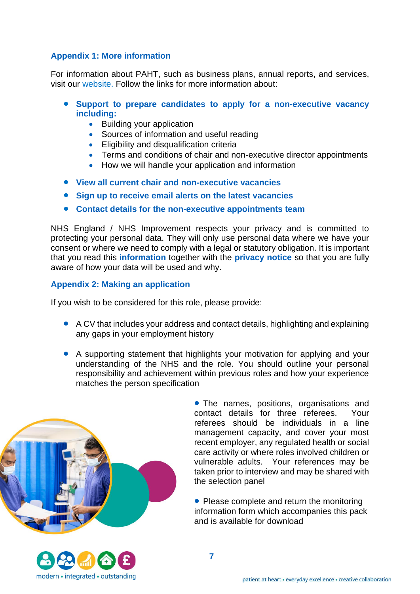#### **Appendix 1: More information**

For information about PAHT, such as business plans, annual reports, and services, visit our [website.](https://www.pah.nhs.uk/) Follow the links for more information about:

- **Support to prepare candidates to apply for a [non-executive](https://www.england.nhs.uk/non-executive-opportunities/support-for-candidates/becoming-a-non-executive-director/) vacancy including:**
	- Building your application
	- Sources of information and useful reading
	- Eligibility and disqualification criteria
	- Terms and conditions of chair and non-executive director appointments
	- How we will handle your application and information
- **View all current chair and [non-executive](https://www.england.nhs.uk/non-executive-opportunities/news/) vacancies**
- **Sign up to receive email alerts on the latest [vacancies](https://www.england.nhs.uk/non-executive-opportunities/sign-up-alerts/)**
- **Contact details for the [non-executive](https://www.england.nhs.uk/non-executive-opportunities/about-the-team/non-executive-appointments-team/) appointments team**

NHS England / NHS Improvement respects your privacy and is committed to protecting your personal data. They will only use personal data where we have your consent or where we need to comply with a legal or statutory obligation. It is important that you read this **[information](https://www.england.nhs.uk/non-executive-opportunities/about-the-team/how-we-use-your-personal-information/)** together with the **[privacy notice](https://improvement.nhs.uk/privacy/)** so that you are fully aware of how your data will be used and why.

#### **Appendix 2: Making an application**

If you wish to be considered for this role, please provide:

- A CV that includes your address and contact details, highlighting and explaining any gaps in your employment history
- A supporting statement that highlights your motivation for applying and your understanding of the NHS and the role. You should outline your personal responsibility and achievement within previous roles and how your experience matches the person specification



• The names, positions, organisations and contact details for three referees. Your referees should be individuals in a line management capacity, and cover your most recent employer, any regulated health or social care activity or where roles involved children or vulnerable adults. Your references may be taken prior to interview and may be shared with the selection panel

• Please complete and return the monitoring information form which accompanies this pack and is available for download